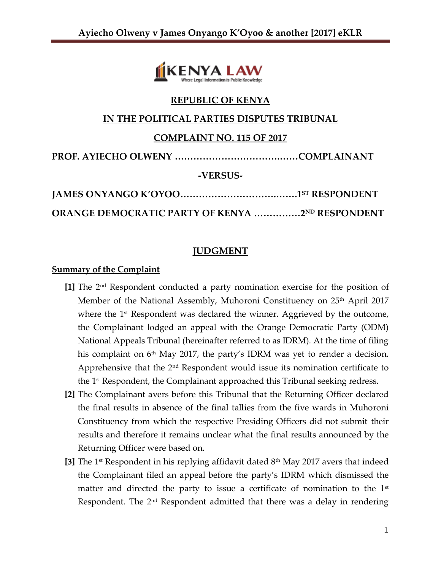

# **REPUBLIC OF KENYA**

# **IN THE POLITICAL PARTIES DISPUTES TRIBUNAL**

# **COMPLAINT NO. 115 OF 2017**

**PROF. AYIECHO OLWENY …………………………….……COMPLAINANT**

**-VERSUS-**

| <b>ORANGE DEMOCRATIC PARTY OF KENYA 2ND RESPONDENT</b> |  |
|--------------------------------------------------------|--|

# **JUDGMENT**

### **Summary of the Complaint**

- **[1]** The 2nd Respondent conducted a party nomination exercise for the position of Member of the National Assembly, Muhoroni Constituency on 25<sup>th</sup> April 2017 where the 1<sup>st</sup> Respondent was declared the winner. Aggrieved by the outcome, the Complainant lodged an appeal with the Orange Democratic Party (ODM) National Appeals Tribunal (hereinafter referred to as IDRM). At the time of filing his complaint on 6<sup>th</sup> May 2017, the party's IDRM was yet to render a decision. Apprehensive that the  $2<sup>nd</sup>$  Respondent would issue its nomination certificate to the  $1<sup>st</sup>$  Respondent, the Complainant approached this Tribunal seeking redress.
- **[2]** The Complainant avers before this Tribunal that the Returning Officer declared the final results in absence of the final tallies from the five wards in Muhoroni Constituency from which the respective Presiding Officers did not submit their results and therefore it remains unclear what the final results announced by the Returning Officer were based on.
- **[3]** The 1st Respondent in his replying affidavit dated 8th May 2017 avers that indeed the Complainant filed an appeal before the party's IDRM which dismissed the matter and directed the party to issue a certificate of nomination to the  $1<sup>st</sup>$ Respondent. The 2<sup>nd</sup> Respondent admitted that there was a delay in rendering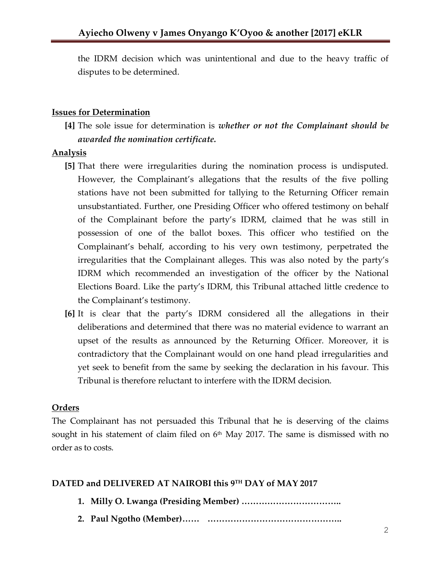the IDRM decision which was unintentional and due to the heavy traffic of disputes to be determined.

#### **Issues for Determination**

**[4]** The sole issue for determination is *whether or not the Complainant should be awarded the nomination certificate.*

#### **Analysis**

- **[5]** That there were irregularities during the nomination process is undisputed. However, the Complainant's allegations that the results of the five polling stations have not been submitted for tallying to the Returning Officer remain unsubstantiated. Further, one Presiding Officer who offered testimony on behalf of the Complainant before the party's IDRM, claimed that he was still in possession of one of the ballot boxes. This officer who testified on the Complainant's behalf, according to his very own testimony, perpetrated the irregularities that the Complainant alleges. This was also noted by the party's IDRM which recommended an investigation of the officer by the National Elections Board. Like the party's IDRM, this Tribunal attached little credence to the Complainant's testimony.
- **[6]** It is clear that the party's IDRM considered all the allegations in their deliberations and determined that there was no material evidence to warrant an upset of the results as announced by the Returning Officer. Moreover, it is contradictory that the Complainant would on one hand plead irregularities and yet seek to benefit from the same by seeking the declaration in his favour. This Tribunal is therefore reluctant to interfere with the IDRM decision.

### **Orders**

The Complainant has not persuaded this Tribunal that he is deserving of the claims sought in his statement of claim filed on  $6<sup>th</sup>$  May 2017. The same is dismissed with no order as to costs.

# **DATED and DELIVERED AT NAIROBI this 9 TH DAY of MAY 2017**

- **1. Milly O. Lwanga (Presiding Member) ……………………………..**
- **2. Paul Ngotho (Member)…… ………………………………………..**